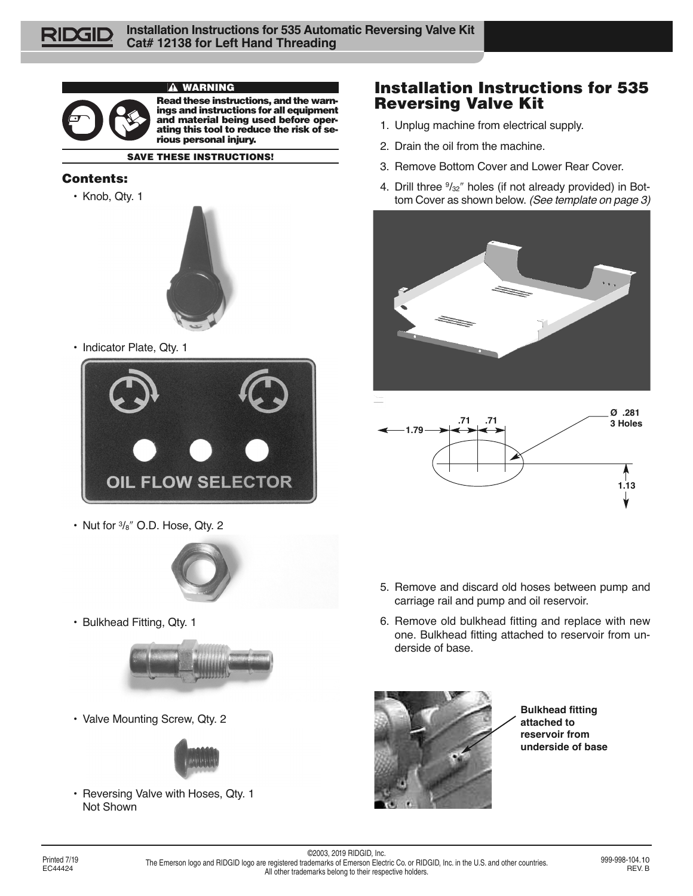

**WARNING Read these instructions, and the warn-**

**ings and instructions for all equipment and material being used before operating this tool to reduce the risk of serious personal injury.**

## **SAVE THESE INSTRUCTIONS!**

## **Contents:**

• Knob, Qty. 1



• Indicator Plate, Qty. 1



• Nut for  $\frac{3}{8}$ " O.D. Hose, Qty. 2



• Bulkhead Fitting, Qty. 1



• Valve Mounting Screw, Qty. 2



• Reversing Valve with Hoses, Qty. 1 Not Shown

## **Installation Instructions for 535 Reversing Valve Kit**

- 1. Unplug machine from electrical supply.
- 2. Drain the oil from the machine.
- 3. Remove Bottom Cover and Lower Rear Cover.
- 4. Drill three  $9/32''$  holes (if not already provided) in Bottom Cover as shown below. *(See template on page 3)*





- 5. Remove and discard old hoses between pump and carriage rail and pump and oil reservoir.
- 6. Remove old bulkhead fitting and replace with new one. Bulkhead fitting attached to reservoir from underside of base.



**Bulkhead fitting attached to reservoir from underside of base**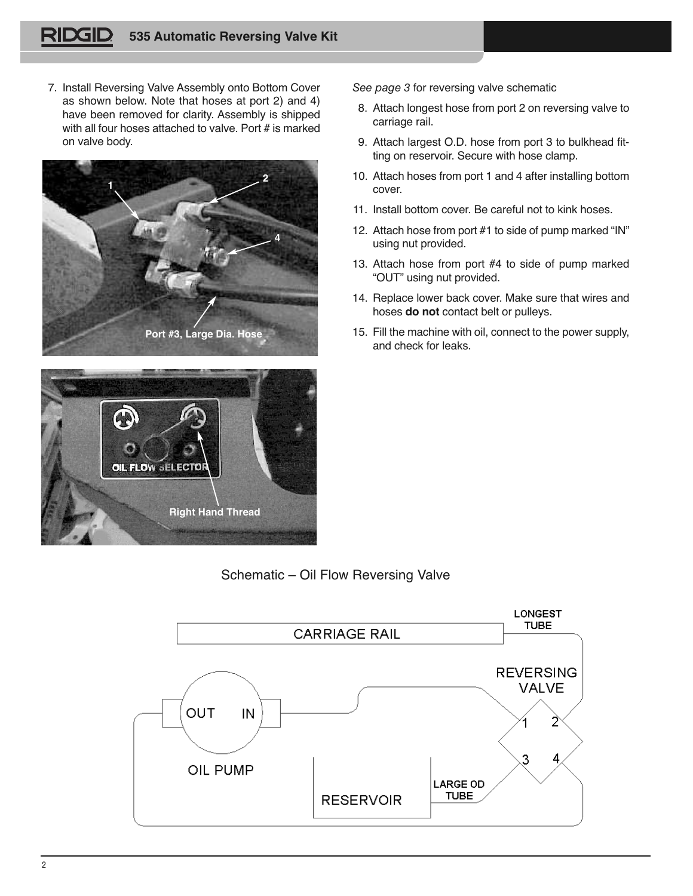7. Install Reversing Valve Assembly onto Bottom Cover as shown below. Note that hoses at port 2) and 4) have been removed for clarity. Assembly is shipped with all four hoses attached to valve. Port # is marked on valve body.





*See page 3* for reversing valve schematic

- 8. Attach longest hose from port 2 on reversing valve to carriage rail.
- 9. Attach largest O.D. hose from port 3 to bulkhead fitting on reservoir. Secure with hose clamp.
- 10. Attach hoses from port 1 and 4 after installing bottom cover.
- 11. Install bottom cover. Be careful not to kink hoses.
- 12. Attach hose from port #1 to side of pump marked "IN" using nut provided.
- 13. Attach hose from port #4 to side of pump marked "OUT" using nut provided.
- 14. Replace lower back cover. Make sure that wires and hoses **do not** contact belt or pulleys.
- 15. Fill the machine with oil, connect to the power supply, and check for leaks.

Schematic – Oil Flow Reversing Valve

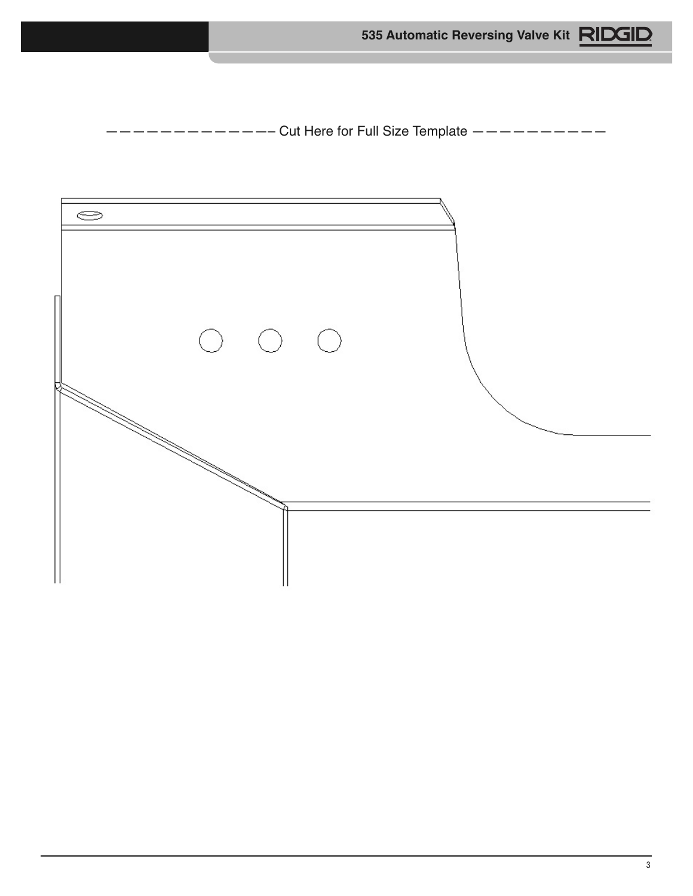$---------$  Cut Here for Full Size Template  $----------$